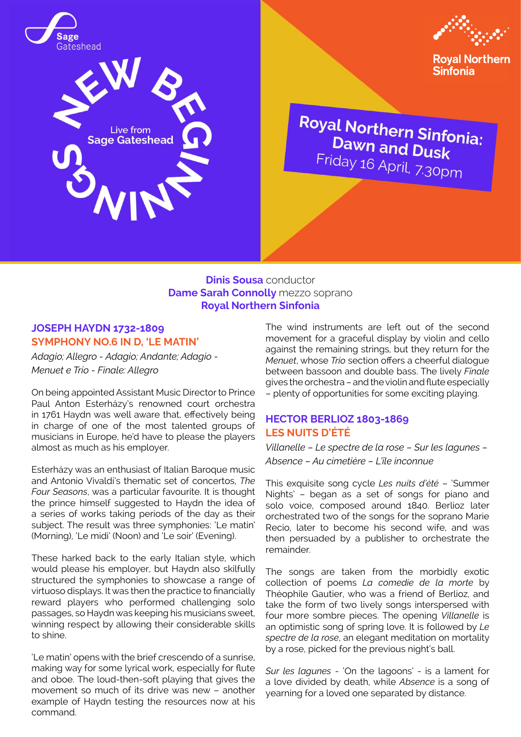





**Royal Northern Sinfonia** 

**Royal Northern Sinfonia:**<br>Dawn and D. **Dawn and Dusk**<br>Dawn and Dusk Dawn and Dusk<br>Friday 16 April, 7.30pm

## **Dinis Sousa** conductor **Dame Sarah Connolly** mezzo soprano **Royal Northern Sinfonia**

## **JOSEPH HAYDN 1732-1809 SYMPHONY NO.6 IN D, 'LE MATIN'**

*Adagio; Allegro - Adagio; Andante; Adagio - Menuet e Trio - Finale: Allegro*

On being appointed Assistant Music Director to Prince Paul Anton Esterházy's renowned court orchestra in 1761 Haydn was well aware that, effectively being in charge of one of the most talented groups of musicians in Europe, he'd have to please the players almost as much as his employer.

Esterházy was an enthusiast of Italian Baroque music and Antonio Vivaldi's thematic set of concertos, *The Four Seasons*, was a particular favourite. It is thought the prince himself suggested to Haydn the idea of a series of works taking periods of the day as their subject. The result was three symphonies: 'Le matin' (Morning), 'Le midi' (Noon) and 'Le soir' (Evening).

These harked back to the early Italian style, which would please his employer, but Haydn also skilfully structured the symphonies to showcase a range of virtuoso displays. It was then the practice to financially reward players who performed challenging solo passages, so Haydn was keeping his musicians sweet, winning respect by allowing their considerable skills to shine.

'Le matin' opens with the brief crescendo of a sunrise, making way for some lyrical work, especially for flute and oboe. The loud-then-soft playing that gives the movement so much of its drive was new – another example of Haydn testing the resources now at his command.

The wind instruments are left out of the second movement for a graceful display by violin and cello against the remaining strings, but they return for the *Menuet*, whose *Trio* section offers a cheerful dialogue between bassoon and double bass. The lively *Finale* gives the orchestra – and the violin and flute especially – plenty of opportunities for some exciting playing.

# **HECTOR BERLIOZ 1803-1869 LES NUITS D'ÉTÉ**

*Villanelle – Le spectre de la rose – Sur les lagunes – Absence – Au cimetière – L'île inconnue*

This exquisite song cycle *Les nuits d'été* – 'Summer Nights' – began as a set of songs for piano and solo voice, composed around 1840. Berlioz later orchestrated two of the songs for the soprano Marie Recio, later to become his second wife, and was then persuaded by a publisher to orchestrate the remainder.

The songs are taken from the morbidly exotic collection of poems *La comedie de la morte* by Théophile Gautier, who was a friend of Berlioz, and take the form of two lively songs interspersed with four more sombre pieces. The opening *Villanelle* is an optimistic song of spring love. It is followed by *Le spectre de la rose*, an elegant meditation on mortality by a rose, picked for the previous night's ball.

*Sur les lagunes* - 'On the lagoons' - is a lament for a love divided by death, while *Absence* is a song of yearning for a loved one separated by distance.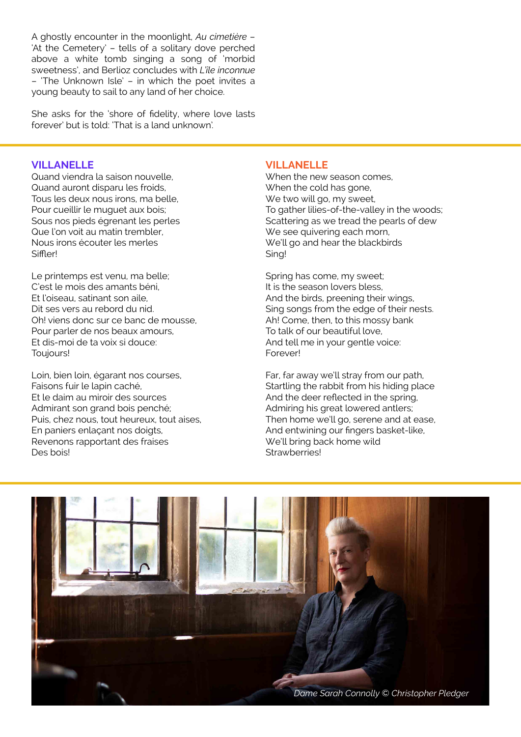A ghostly encounter in the moonlight, *Au cimetière* – 'At the Cemetery' – tells of a solitary dove perched above a white tomb singing a song of 'morbid sweetness', and Berlioz concludes with *L'île inconnue*  – 'The Unknown Isle' – in which the poet invites a young beauty to sail to any land of her choice.

She asks for the 'shore of fidelity, where love lasts forever' but is told: 'That is a land unknown'.

#### **VILLANELLE**

Quand viendra la saison nouvelle, Quand auront disparu les froids, Tous les deux nous irons, ma belle, Pour cueillir le muguet aux bois; Sous nos pieds égrenant les perles Que l'on voit au matin trembler, Nous irons écouter les merles **Siffler!** 

Le printemps est venu, ma belle; C'est le mois des amants béni, Et l'oiseau, satinant son aile, Dit ses vers au rebord du nid. Oh! viens donc sur ce banc de mousse, Pour parler de nos beaux amours, Et dis-moi de ta voix si douce: Toujours!

Loin, bien loin, égarant nos courses, Faisons fuir le lapin caché, Et le daim au miroir des sources Admirant son grand bois penché; Puis, chez nous, tout heureux, tout aises, En paniers enlaçant nos doigts, Revenons rapportant des fraises Des bois!

#### **VILLANELLE**

When the new season comes, When the cold has gone. We two will go, my sweet, To gather lilies-of-the-valley in the woods; Scattering as we tread the pearls of dew We see quivering each morn, We'll go and hear the blackbirds Sing!

Spring has come, my sweet; It is the season lovers bless, And the birds, preening their wings, Sing songs from the edge of their nests. Ah! Come, then, to this mossy bank To talk of our beautiful love, And tell me in your gentle voice: Forever!

Far, far away we'll stray from our path, Startling the rabbit from his hiding place And the deer reflected in the spring, Admiring his great lowered antlers; Then home we'll go, serene and at ease, And entwining our fingers basket-like, We'll bring back home wild Strawberries!

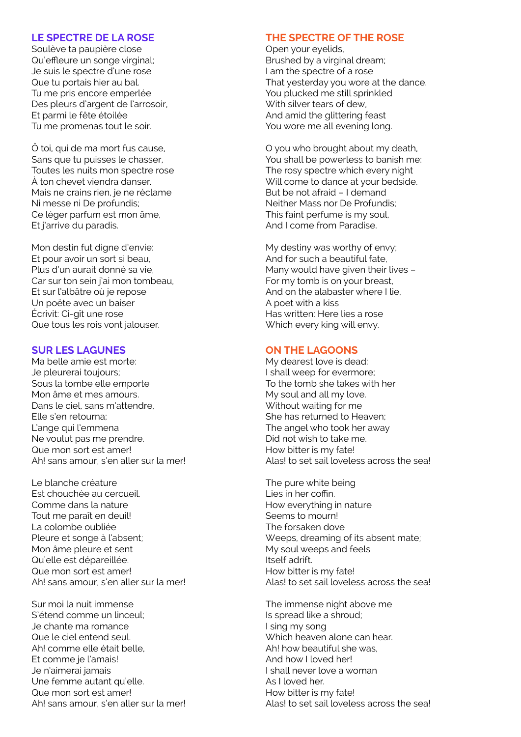### **LE SPECTRE DE LA ROSE**

Soulève ta paupière close Qu'effleure un songe virginal; Je suis le spectre d'une rose Que tu portais hier au bal. Tu me pris encore emperlée Des pleurs d'argent de l'arrosoir, Et parmi le fête étoilée Tu me promenas tout le soir.

Ô toi, qui de ma mort fus cause, Sans que tu puisses le chasser, Toutes les nuits mon spectre rose À ton chevet viendra danser. Mais ne crains rien, je ne réclame Ni messe ni De profundis; Ce léger parfum est mon âme, Et j'arrive du paradis.

Mon destin fut digne d'envie: Et pour avoir un sort si beau, Plus d'un aurait donné sa vie, Car sur ton sein i'ai mon tombeau. Et sur l'albâtre où je repose Un poëte avec un baiser Écrivit: Ci-gît une rose Que tous les rois vont jalouser.

# **SUR LES LAGUNES**

Ma belle amie est morte: Je pleurerai toujours; Sous la tombe elle emporte Mon âme et mes amours. Dans le ciel, sans m'attendre, Elle s'en retourna; L'ange qui l'emmena Ne voulut pas me prendre. Que mon sort est amer! Ah! sans amour, s'en aller sur la mer!

Le blanche créature Est chouchée au cercueil. Comme dans la nature Tout me paraît en deuil! La colombe oubliée Pleure et songe à l'absent; Mon âme pleure et sent Qu'elle est dépareillée. Que mon sort est amer! Ah! sans amour, s'en aller sur la mer!

Sur moi la nuit immense S'étend comme un linceul; Je chante ma romance Que le ciel entend seul. Ah! comme elle était belle, Et comme je l'amais! Je n'aimerai jamais Une femme autant qu'elle. Que mon sort est amer! Ah! sans amour, s'en aller sur la mer!

#### **THE SPECTRE OF THE ROSE**

Open your eyelids, Brushed by a virginal dream; I am the spectre of a rose That yesterday you wore at the dance. You plucked me still sprinkled With silver tears of dew. And amid the glittering feast You wore me all evening long.

O you who brought about my death, You shall be powerless to banish me: The rosy spectre which every night Will come to dance at your bedside. But be not afraid – I demand Neither Mass nor De Profundis; This faint perfume is my soul, And I come from Paradise.

My destiny was worthy of envy; And for such a beautiful fate, Many would have given their lives – For my tomb is on your breast, And on the alabaster where I lie, A poet with a kiss Has written: Here lies a rose Which every king will envy.

## **ON THE LAGOONS**

My dearest love is dead: I shall weep for evermore; To the tomb she takes with her My soul and all my love. Without waiting for me She has returned to Heaven; The angel who took her away Did not wish to take me. How bitter is my fate! Alas! to set sail loveless across the sea!

The pure white being Lies in her coffin. How everything in nature Seems to mourn! The forsaken dove Weeps, dreaming of its absent mate; My soul weeps and feels Itself adrift. How bitter is my fate! Alas! to set sail loveless across the sea!

The immense night above me Is spread like a shroud; I sing my song Which heaven alone can hear. Ah! how beautiful she was, And how I loved her! I shall never love a woman As I loved her. How bitter is my fate! Alas! to set sail loveless across the sea!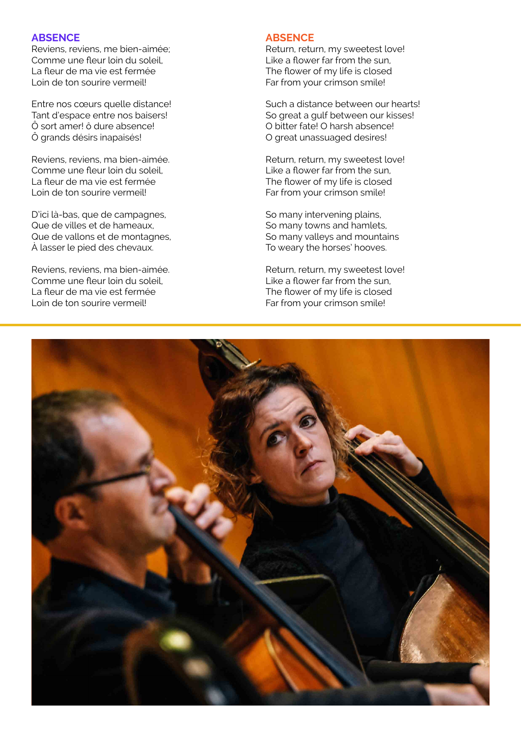### **ABSENCE**

Reviens, reviens, me bien-aimée; Comme une fleur loin du soleil, La fleur de ma vie est fermée Loin de ton sourire vermeil!

Entre nos cœurs quelle distance! Tant d'espace entre nos baisers! Ô sort amer! ô dure absence! Ô grands désirs inapaisés!

Reviens, reviens, ma bien-aimée. Comme une fleur loin du soleil, La fleur de ma vie est fermée Loin de ton sourire vermeil!

D'ici là-bas, que de campagnes, Que de villes et de hameaux, Que de vallons et de montagnes, À lasser le pied des chevaux.

Reviens, reviens, ma bien-aimée. Comme une fleur loin du soleil, La fleur de ma vie est fermée Loin de ton sourire vermeil!

### **ABSENCE**

Return, return, my sweetest love! Like a flower far from the sun, The flower of my life is closed Far from your crimson smile!

Such a distance between our hearts! So great a gulf between our kisses! O bitter fate! O harsh absence! O great unassuaged desires!

Return, return, my sweetest love! Like a flower far from the sun, The flower of my life is closed Far from your crimson smile!

So many intervening plains, So many towns and hamlets, So many valleys and mountains To weary the horses' hooves.

Return, return, my sweetest love! Like a flower far from the sun, The flower of my life is closed Far from your crimson smile!

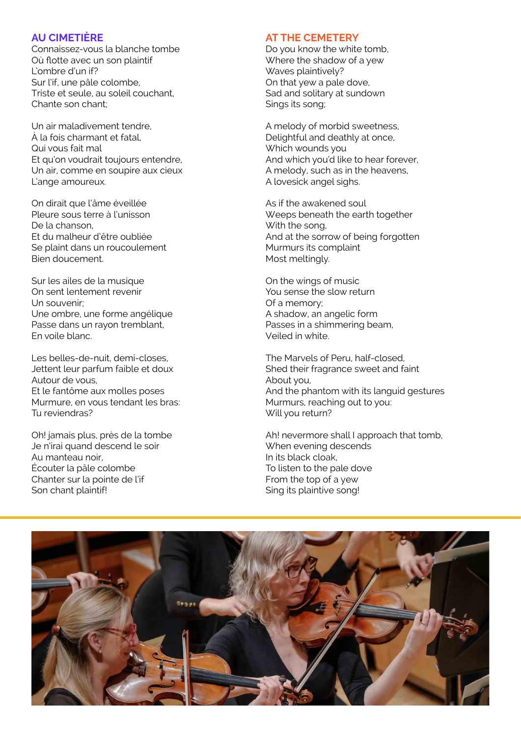## **AU CIMETIÈRE**

Connaissez-vous la blanche tombe Où flotte avec un son plaintif L'ombre d'un if? Sur l'if, une pâle colombe, Triste et seule, au soleil couchant, Chante son chant;

Un air maladivement tendre, À la fois charmant et fatal, Qui vous fait mal Et qu'on voudrait toujours entendre, Un air, comme en soupire aux cieux L'ange amoureux.

On dirait que l'âme éveillée Pleure sous terre à l'unisson De la chanson, Et du malheur d'être oubliée Se plaint dans un roucoulement Bien doucement.

Sur les ailes de la musique On sent lentement revenir Un souvenir; Une ombre, une forme angélique Passe dans un rayon tremblant, En voile blanc.

Les belles-de-nuit, demi-closes, Jettent leur parfum faible et doux Autour de vous, Et le fantôme aux molles poses Murmure, en vous tendant les bras: Tu reviendras?

Oh! jamais plus, près de la tombe Je n'irai quand descend le soir Au manteau noir, Écouter la pâle colombe Chanter sur la pointe de l'if Son chant plaintif!

### **AT THE CEMETERY**

Do you know the white tomb, Where the shadow of a yew Waves plaintively? On that yew a pale dove, Sad and solitary at sundown Sings its song;

A melody of morbid sweetness, Delightful and deathly at once, Which wounds you And which you'd like to hear forever, A melody, such as in the heavens, A lovesick angel sighs.

As if the awakened soul Weeps beneath the earth together With the song, And at the sorrow of being forgotten Murmurs its complaint Most meltingly.

On the wings of music You sense the slow return Of a memory; A shadow, an angelic form Passes in a shimmering beam, Veiled in white.

The Marvels of Peru, half-closed, Shed their fragrance sweet and faint About you, And the phantom with its languid gestures Murmurs, reaching out to you: Will you return?

Ah! nevermore shall I approach that tomb, When evening descends In its black cloak, To listen to the pale dove From the top of a yew Sing its plaintive song!

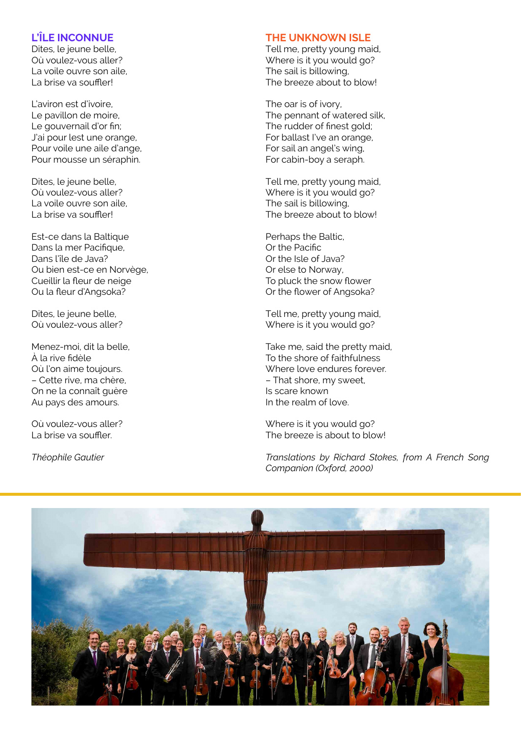## **L'ÎLE INCONNUE**

Dites, le jeune belle, Où voulez-vous aller? La voile ouvre son aile, La brise va souffler!

L'aviron est d'ivoire, Le pavillon de moire, Le gouvernail d'or fin; J'ai pour lest une orange, Pour voile une aile d'ange, Pour mousse un séraphin.

Dites, le jeune belle, Où voulez-vous aller? La voile ouvre son aile, La brise va souffler!

Est-ce dans la Baltique Dans la mer Pacifique, Dans l'île de Java? Ou bien est-ce en Norvège, Cueillir la fleur de neige Ou la fleur d'Angsoka?

Dites, le jeune belle, Où voulez-vous aller?

Menez-moi, dit la belle, À la rive fidèle Où l'on aime toujours. – Cette rive, ma chère, On ne la connaît guère Au pays des amours.

Où voulez-vous aller? La brise va souffler.

*Théophile Gautier*

### **THE UNKNOWN ISLE**

Tell me, pretty young maid, Where is it you would go? The sail is billowing, The breeze about to blow!

The oar is of ivory, The pennant of watered silk, The rudder of finest gold; For ballast I've an orange, For sail an angel's wing, For cabin-boy a seraph.

Tell me, pretty young maid, Where is it you would go? The sail is billowing, The breeze about to blow!

Perhaps the Baltic, Or the Pacific Or the Isle of Java? Or else to Norway, To pluck the snow flower Or the flower of Angsoka?

Tell me, pretty young maid, Where is it you would go?

Take me, said the pretty maid, To the shore of faithfulness Where love endures forever. – That shore, my sweet, Is scare known In the realm of love.

Where is it you would go? The breeze is about to blow!

*Translations by Richard Stokes, from A French Song Companion (Oxford, 2000)*

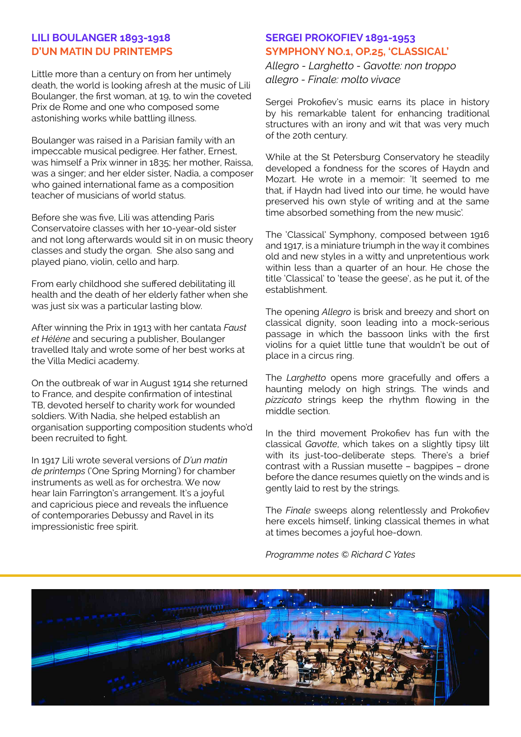# **LILI BOULANGER 1893-1918 D'UN MATIN DU PRINTEMPS**

Little more than a century on from her untimely death, the world is looking afresh at the music of Lili Boulanger, the first woman, at 19, to win the coveted Prix de Rome and one who composed some astonishing works while battling illness.

Boulanger was raised in a Parisian family with an impeccable musical pedigree. Her father, Ernest, was himself a Prix winner in 1835; her mother, Raissa, was a singer; and her elder sister, Nadia, a composer who gained international fame as a composition teacher of musicians of world status.

Before she was five, Lili was attending Paris Conservatoire classes with her 10-year-old sister and not long afterwards would sit in on music theory classes and study the organ. She also sang and played piano, violin, cello and harp.

From early childhood she suffered debilitating ill health and the death of her elderly father when she was just six was a particular lasting blow.

After winning the Prix in 1913 with her cantata *Faust et Hélène* and securing a publisher, Boulanger travelled Italy and wrote some of her best works at the Villa Medici academy.

On the outbreak of war in August 1914 she returned to France, and despite confirmation of intestinal TB, devoted herself to charity work for wounded soldiers. With Nadia, she helped establish an organisation supporting composition students who'd been recruited to fight.

In 1917 Lili wrote several versions of *D'un matin de printemps* ('One Spring Morning') for chamber instruments as well as for orchestra. We now hear Iain Farrington's arrangement. It's a joyful and capricious piece and reveals the influence of contemporaries Debussy and Ravel in its impressionistic free spirit.

# **SERGEI PROKOFIEV 1891-1953 SYMPHONY NO.1, OP.25, 'CLASSICAL'**

*Allegro - Larghetto - Gavotte: non troppo allegro - Finale: molto vivace*

Sergei Prokofiev's music earns its place in history by his remarkable talent for enhancing traditional structures with an irony and wit that was very much of the 20th century.

While at the St Petersburg Conservatory he steadily developed a fondness for the scores of Haydn and Mozart. He wrote in a memoir: 'It seemed to me that, if Haydn had lived into our time, he would have preserved his own style of writing and at the same time absorbed something from the new music'.

The 'Classical' Symphony, composed between 1916 and 1917, is a miniature triumph in the way it combines old and new styles in a witty and unpretentious work within less than a quarter of an hour. He chose the title 'Classical' to 'tease the geese', as he put it, of the establishment.

The opening *Allegro* is brisk and breezy and short on classical dignity, soon leading into a mock-serious passage in which the bassoon links with the first violins for a quiet little tune that wouldn't be out of place in a circus ring.

The *Larghetto* opens more gracefully and offers a haunting melody on high strings. The winds and *pizzicato* strings keep the rhythm flowing in the middle section.

In the third movement Prokofiev has fun with the classical *Gavotte*, which takes on a slightly tipsy lilt with its just-too-deliberate steps. There's a brief contrast with a Russian musette - bagpipes - drone before the dance resumes quietly on the winds and is gently laid to rest by the strings.

The *Finale* sweeps along relentlessly and Prokofiev here excels himself, linking classical themes in what at times becomes a joyful hoe-down.

*Programme notes © Richard C Yates*

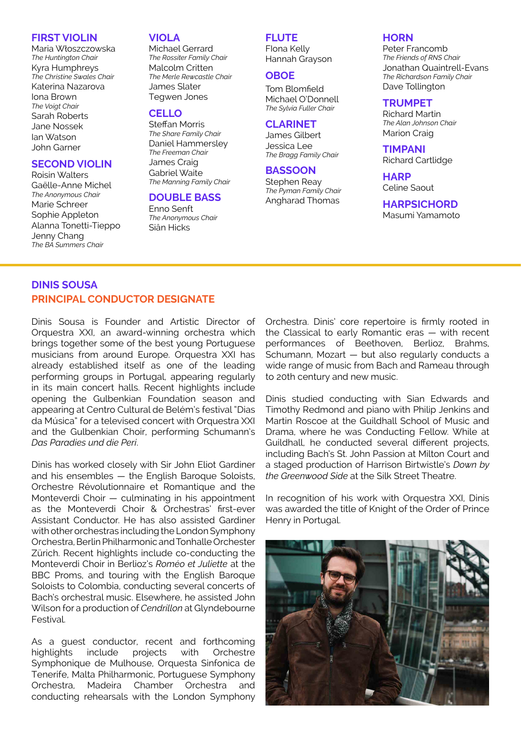#### **FIRST VIOLIN**

Maria Włoszczowska *The Huntington Chair* Kyra Humphreys *The Christine Swales Chair* Katerina Nazarova Iona Brown *The Voigt Chair* Sarah Roberts Jane Nossek Ian Watson John Garner

### **SECOND VIOLIN**

Roisin Walters Gaëlle-Anne Michel *The Anonymous Chair* Marie Schreer Sophie Appleton Alanna Tonetti-Tieppo Jenny Chang *The BA Summers Chair*

#### **VIOLA**

Michael Gerrard *The Rossiter Family Chair* Malcolm Critten *The Merle Rewcastle Chair* James Slater Tegwen Jones

## **CELLO**

Steffan Morris *The Share Family Chair* Daniel Hammersley *The Freeman Chair* James Craig Gabriel Waite *The Manning Family Chair*

## **DOUBLE BASS**

Enno Senft *The Anonymous Chair* Siân Hicks

## **FLUTE**

FIona Kelly Hannah Grayson

#### **OBOE**

Tom Blomfield Michael O'Donnell *The Sylvia Fuller Chair*

### **CLARINET**

James Gilbert Jessica Lee *The Bragg Family Chair*

## **BASSOON**

Stephen Reay *The Pyman Family Chair* Angharad Thomas

#### **HORN**

Peter Francomb *The Friends of RNS Chair* Jonathan Quaintrell-Evans *The Richardson Family Chair* Dave Tollington

#### **TRUMPET**

Richard Martin *The Alan Johnson Chair* Marion Craig

**TIMPANI** Richard Cartlidge

**HARP** Celine Saout

## **HARPSICHORD**

Masumi Yamamoto

# **DINIS SOUSA PRINCIPAL CONDUCTOR DESIGNATE**

Dinis Sousa is Founder and Artistic Director of Orquestra XXI, an award-winning orchestra which brings together some of the best young Portuguese musicians from around Europe. Orquestra XXI has already established itself as one of the leading performing groups in Portugal, appearing regularly in its main concert halls. Recent highlights include opening the Gulbenkian Foundation season and appearing at Centro Cultural de Belém's festival "Dias da Música" for a televised concert with Orquestra XXI and the Gulbenkian Choir, performing Schumann's *Das Paradies und die Peri*.

Dinis has worked closely with Sir John Eliot Gardiner and his ensembles — the English Baroque Soloists, Orchestre Révolutionnaire et Romantique and the Monteverdi Choir — culminating in his appointment as the Monteverdi Choir & Orchestras' first-ever Assistant Conductor. He has also assisted Gardiner with other orchestras including the London Symphony Orchestra, Berlin Philharmonic and Tonhalle Orchester Zürich. Recent highlights include co-conducting the Monteverdi Choir in Berlioz's *Roméo et Juliette* at the BBC Proms, and touring with the English Baroque Soloists to Colombia, conducting several concerts of Bach's orchestral music. Elsewhere, he assisted John Wilson for a production of *Cendrillon* at Glyndebourne Festival.

As a guest conductor, recent and forthcoming highlights include projects with Orchestre Symphonique de Mulhouse, Orquesta Sinfonica de Tenerife, Malta Philharmonic, Portuguese Symphony Orchestra, Madeira Chamber Orchestra and conducting rehearsals with the London Symphony

Orchestra. Dinis' core repertoire is firmly rooted in the Classical to early Romantic eras — with recent performances of Beethoven, Berlioz, Brahms, Schumann, Mozart — but also regularly conducts a wide range of music from Bach and Rameau through to 20th century and new music.

Dinis studied conducting with Sian Edwards and Timothy Redmond and piano with Philip Jenkins and Martin Roscoe at the Guildhall School of Music and Drama, where he was Conducting Fellow. While at Guildhall, he conducted several different projects, including Bach's St. John Passion at Milton Court and a staged production of Harrison Birtwistle's *Down by the Greenwood Side* at the Silk Street Theatre.

In recognition of his work with Orquestra XXI, Dinis was awarded the title of Knight of the Order of Prince Henry in Portugal.